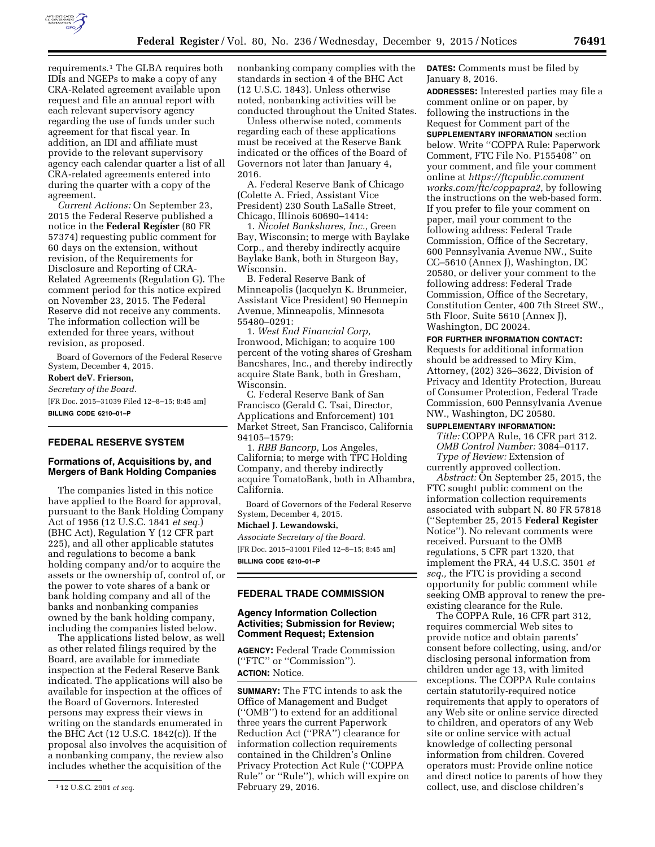

requirements.1 The GLBA requires both IDIs and NGEPs to make a copy of any CRA-Related agreement available upon request and file an annual report with each relevant supervisory agency regarding the use of funds under such agreement for that fiscal year. In addition, an IDI and affiliate must provide to the relevant supervisory agency each calendar quarter a list of all CRA-related agreements entered into during the quarter with a copy of the agreement.

*Current Actions:* On September 23, 2015 the Federal Reserve published a notice in the **Federal Register** (80 FR 57374) requesting public comment for 60 days on the extension, without revision, of the Requirements for Disclosure and Reporting of CRA-Related Agreements (Regulation G). The comment period for this notice expired on November 23, 2015. The Federal Reserve did not receive any comments. The information collection will be extended for three years, without revision, as proposed.

Board of Governors of the Federal Reserve System, December 4, 2015.

## **Robert deV. Frierson,**

*Secretary of the Board.*  [FR Doc. 2015–31039 Filed 12–8–15; 8:45 am] **BILLING CODE 6210–01–P** 

## **FEDERAL RESERVE SYSTEM**

## **Formations of, Acquisitions by, and Mergers of Bank Holding Companies**

The companies listed in this notice have applied to the Board for approval, pursuant to the Bank Holding Company Act of 1956 (12 U.S.C. 1841 *et seq.*) (BHC Act), Regulation Y (12 CFR part 225), and all other applicable statutes and regulations to become a bank holding company and/or to acquire the assets or the ownership of, control of, or the power to vote shares of a bank or bank holding company and all of the banks and nonbanking companies owned by the bank holding company, including the companies listed below.

The applications listed below, as well as other related filings required by the Board, are available for immediate inspection at the Federal Reserve Bank indicated. The applications will also be available for inspection at the offices of the Board of Governors. Interested persons may express their views in writing on the standards enumerated in the BHC Act (12 U.S.C. 1842(c)). If the proposal also involves the acquisition of a nonbanking company, the review also includes whether the acquisition of the

nonbanking company complies with the standards in section 4 of the BHC Act (12 U.S.C. 1843). Unless otherwise noted, nonbanking activities will be conducted throughout the United States.

Unless otherwise noted, comments regarding each of these applications must be received at the Reserve Bank indicated or the offices of the Board of Governors not later than January 4, 2016.

A. Federal Reserve Bank of Chicago (Colette A. Fried, Assistant Vice President) 230 South LaSalle Street, Chicago, Illinois 60690–1414:

1. *Nicolet Bankshares, Inc.,* Green Bay, Wisconsin; to merge with Baylake Corp., and thereby indirectly acquire Baylake Bank, both in Sturgeon Bay, Wisconsin.

B. Federal Reserve Bank of Minneapolis (Jacquelyn K. Brunmeier, Assistant Vice President) 90 Hennepin Avenue, Minneapolis, Minnesota 55480–0291:

1. *West End Financial Corp,*  Ironwood, Michigan; to acquire 100 percent of the voting shares of Gresham Bancshares, Inc., and thereby indirectly acquire State Bank, both in Gresham, Wisconsin.

C. Federal Reserve Bank of San Francisco (Gerald C. Tsai, Director, Applications and Enforcement) 101 Market Street, San Francisco, California 94105–1579:

1. *RBB Bancorp,* Los Angeles, California; to merge with TFC Holding Company, and thereby indirectly acquire TomatoBank, both in Alhambra, California.

Board of Governors of the Federal Reserve System, December 4, 2015.

#### **Michael J. Lewandowski,**

*Associate Secretary of the Board.*  [FR Doc. 2015–31001 Filed 12–8–15; 8:45 am] **BILLING CODE 6210–01–P** 

## **FEDERAL TRADE COMMISSION**

## **Agency Information Collection Activities; Submission for Review; Comment Request; Extension**

**AGENCY:** Federal Trade Commission (''FTC'' or ''Commission''). **ACTION:** Notice.

**SUMMARY:** The FTC intends to ask the Office of Management and Budget (''OMB'') to extend for an additional three years the current Paperwork Reduction Act (''PRA'') clearance for information collection requirements contained in the Children's Online Privacy Protection Act Rule (''COPPA Rule'' or ''Rule''), which will expire on February 29, 2016.

**DATES:** Comments must be filed by January 8, 2016.

**ADDRESSES:** Interested parties may file a comment online or on paper, by following the instructions in the Request for Comment part of the **SUPPLEMENTARY INFORMATION** section below. Write ''COPPA Rule: Paperwork Comment, FTC File No. P155408'' on your comment, and file your comment online at *[https://ftcpublic.comment](https://ftcpublic.commentworks.com/ftc/coppapra2) [works.com/ftc/coppapra2,](https://ftcpublic.commentworks.com/ftc/coppapra2)* by following the instructions on the web-based form. If you prefer to file your comment on paper, mail your comment to the following address: Federal Trade Commission, Office of the Secretary, 600 Pennsylvania Avenue NW., Suite CC–5610 (Annex J), Washington, DC 20580, or deliver your comment to the following address: Federal Trade Commission, Office of the Secretary, Constitution Center, 400 7th Street SW., 5th Floor, Suite 5610 (Annex J), Washington, DC 20024.

#### **FOR FURTHER INFORMATION CONTACT:**

Requests for additional information should be addressed to Miry Kim, Attorney, (202) 326–3622, Division of Privacy and Identity Protection, Bureau of Consumer Protection, Federal Trade Commission, 600 Pennsylvania Avenue NW., Washington, DC 20580.

#### **SUPPLEMENTARY INFORMATION:**

*Title:* COPPA Rule, 16 CFR part 312. *OMB Control Number:* 3084–0117. *Type of Review:* Extension of currently approved collection.

*Abstract:* On September 25, 2015, the FTC sought public comment on the information collection requirements associated with subpart N. 80 FR 57818 (''September 25, 2015 **Federal Register**  Notice''). No relevant comments were received. Pursuant to the OMB regulations, 5 CFR part 1320, that implement the PRA, 44 U.S.C. 3501 *et seq.,* the FTC is providing a second opportunity for public comment while seeking OMB approval to renew the preexisting clearance for the Rule.

The COPPA Rule, 16 CFR part 312, requires commercial Web sites to provide notice and obtain parents' consent before collecting, using, and/or disclosing personal information from children under age 13, with limited exceptions. The COPPA Rule contains certain statutorily-required notice requirements that apply to operators of any Web site or online service directed to children, and operators of any Web site or online service with actual knowledge of collecting personal information from children. Covered operators must: Provide online notice and direct notice to parents of how they collect, use, and disclose children's

<sup>1</sup> 12 U.S.C. 2901 *et seq.*